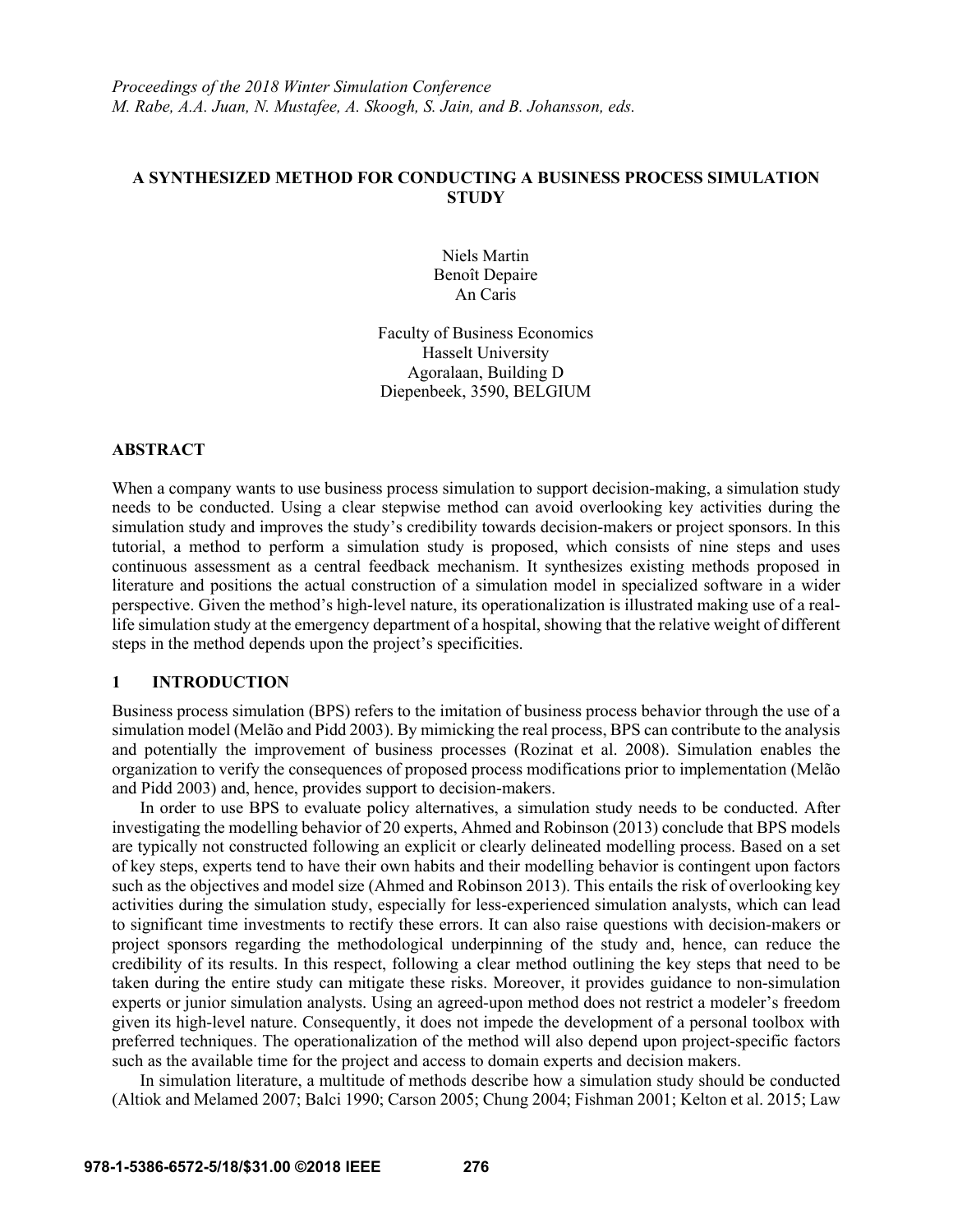# **A SYNTHESIZED METHOD FOR CONDUCTING A BUSINESS PROCESS SIMULATION STUDY**

Niels Martin Benoît Depaire An Caris

Faculty of Business Economics Hasselt University Agoralaan, Building D Diepenbeek, 3590, BELGIUM

### **ABSTRACT**

When a company wants to use business process simulation to support decision-making, a simulation study needs to be conducted. Using a clear stepwise method can avoid overlooking key activities during the simulation study and improves the study's credibility towards decision-makers or project sponsors. In this tutorial, a method to perform a simulation study is proposed, which consists of nine steps and uses continuous assessment as a central feedback mechanism. It synthesizes existing methods proposed in literature and positions the actual construction of a simulation model in specialized software in a wider perspective. Given the method's high-level nature, its operationalization is illustrated making use of a reallife simulation study at the emergency department of a hospital, showing that the relative weight of different steps in the method depends upon the project's specificities.

## **1 INTRODUCTION**

Business process simulation (BPS) refers to the imitation of business process behavior through the use of a simulation model (Melão and Pidd 2003). By mimicking the real process, BPS can contribute to the analysis and potentially the improvement of business processes (Rozinat et al. 2008). Simulation enables the organization to verify the consequences of proposed process modifications prior to implementation (Melão and Pidd 2003) and, hence, provides support to decision-makers.

 In order to use BPS to evaluate policy alternatives, a simulation study needs to be conducted. After investigating the modelling behavior of 20 experts, Ahmed and Robinson (2013) conclude that BPS models are typically not constructed following an explicit or clearly delineated modelling process. Based on a set of key steps, experts tend to have their own habits and their modelling behavior is contingent upon factors such as the objectives and model size (Ahmed and Robinson 2013). This entails the risk of overlooking key activities during the simulation study, especially for less-experienced simulation analysts, which can lead to significant time investments to rectify these errors. It can also raise questions with decision-makers or project sponsors regarding the methodological underpinning of the study and, hence, can reduce the credibility of its results. In this respect, following a clear method outlining the key steps that need to be taken during the entire study can mitigate these risks. Moreover, it provides guidance to non-simulation experts or junior simulation analysts. Using an agreed-upon method does not restrict a modeler's freedom given its high-level nature. Consequently, it does not impede the development of a personal toolbox with preferred techniques. The operationalization of the method will also depend upon project-specific factors such as the available time for the project and access to domain experts and decision makers.

 In simulation literature, a multitude of methods describe how a simulation study should be conducted (Altiok and Melamed 2007; Balci 1990; Carson 2005; Chung 2004; Fishman 2001; Kelton et al. 2015; Law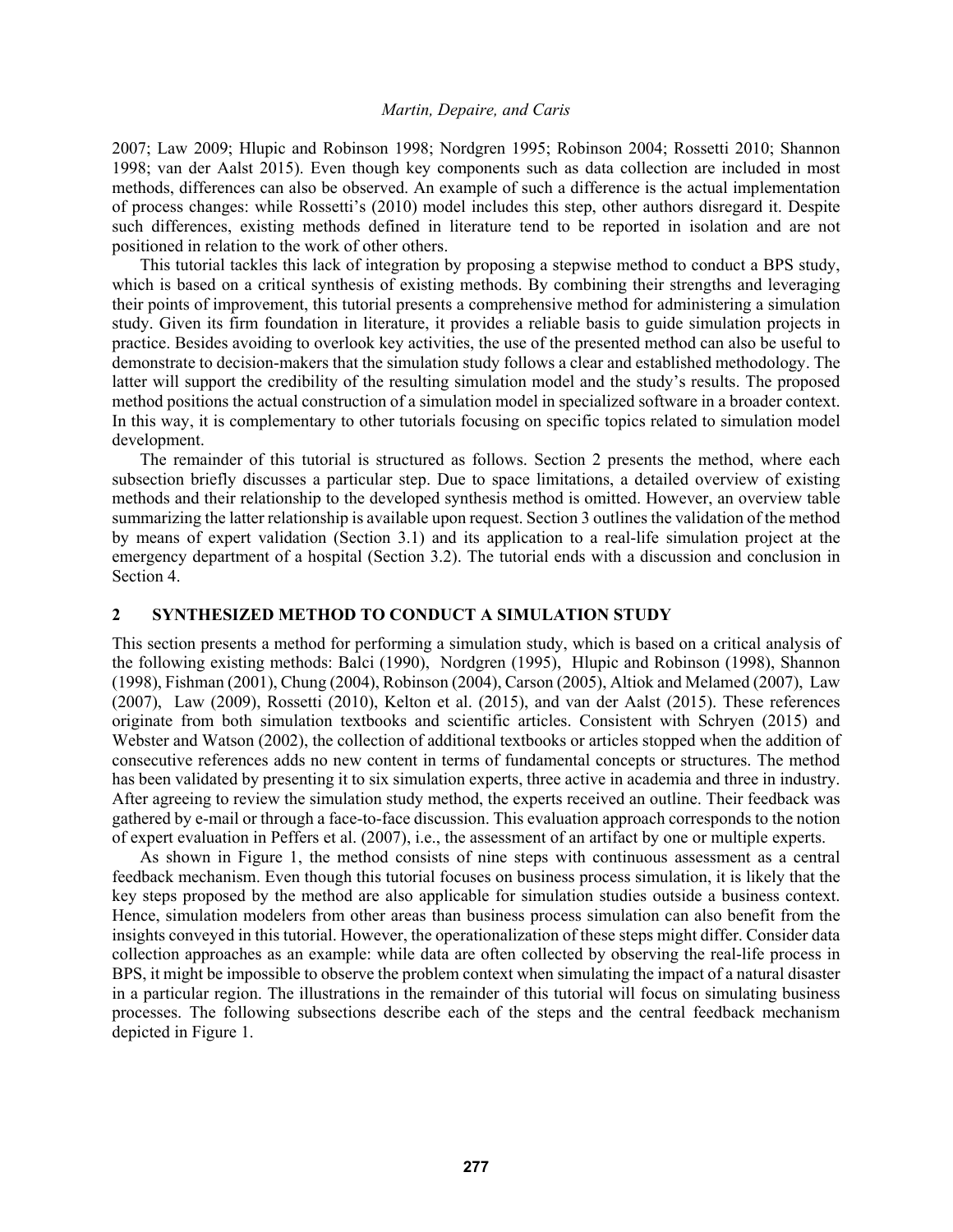2007; Law 2009; Hlupic and Robinson 1998; Nordgren 1995; Robinson 2004; Rossetti 2010; Shannon 1998; van der Aalst 2015). Even though key components such as data collection are included in most methods, differences can also be observed. An example of such a difference is the actual implementation of process changes: while Rossetti's (2010) model includes this step, other authors disregard it. Despite such differences, existing methods defined in literature tend to be reported in isolation and are not positioned in relation to the work of other others.

 This tutorial tackles this lack of integration by proposing a stepwise method to conduct a BPS study, which is based on a critical synthesis of existing methods. By combining their strengths and leveraging their points of improvement, this tutorial presents a comprehensive method for administering a simulation study. Given its firm foundation in literature, it provides a reliable basis to guide simulation projects in practice. Besides avoiding to overlook key activities, the use of the presented method can also be useful to demonstrate to decision-makers that the simulation study follows a clear and established methodology. The latter will support the credibility of the resulting simulation model and the study's results. The proposed method positions the actual construction of a simulation model in specialized software in a broader context. In this way, it is complementary to other tutorials focusing on specific topics related to simulation model development.

 The remainder of this tutorial is structured as follows. Section 2 presents the method, where each subsection briefly discusses a particular step. Due to space limitations, a detailed overview of existing methods and their relationship to the developed synthesis method is omitted. However, an overview table summarizing the latter relationship is available upon request. Section 3 outlines the validation of the method by means of expert validation (Section 3.1) and its application to a real-life simulation project at the emergency department of a hospital (Section 3.2). The tutorial ends with a discussion and conclusion in Section 4.

# **2 SYNTHESIZED METHOD TO CONDUCT A SIMULATION STUDY**

This section presents a method for performing a simulation study, which is based on a critical analysis of the following existing methods: Balci (1990), Nordgren (1995), Hlupic and Robinson (1998), Shannon (1998), Fishman (2001), Chung (2004), Robinson (2004), Carson (2005), Altiok and Melamed (2007), Law (2007), Law (2009), Rossetti (2010), Kelton et al. (2015), and van der Aalst (2015). These references originate from both simulation textbooks and scientific articles. Consistent with Schryen (2015) and Webster and Watson (2002), the collection of additional textbooks or articles stopped when the addition of consecutive references adds no new content in terms of fundamental concepts or structures. The method has been validated by presenting it to six simulation experts, three active in academia and three in industry. After agreeing to review the simulation study method, the experts received an outline. Their feedback was gathered by e-mail or through a face-to-face discussion. This evaluation approach corresponds to the notion of expert evaluation in Peffers et al. (2007), i.e., the assessment of an artifact by one or multiple experts.

 As shown in Figure 1, the method consists of nine steps with continuous assessment as a central feedback mechanism. Even though this tutorial focuses on business process simulation, it is likely that the key steps proposed by the method are also applicable for simulation studies outside a business context. Hence, simulation modelers from other areas than business process simulation can also benefit from the insights conveyed in this tutorial. However, the operationalization of these steps might differ. Consider data collection approaches as an example: while data are often collected by observing the real-life process in BPS, it might be impossible to observe the problem context when simulating the impact of a natural disaster in a particular region. The illustrations in the remainder of this tutorial will focus on simulating business processes. The following subsections describe each of the steps and the central feedback mechanism depicted in Figure 1.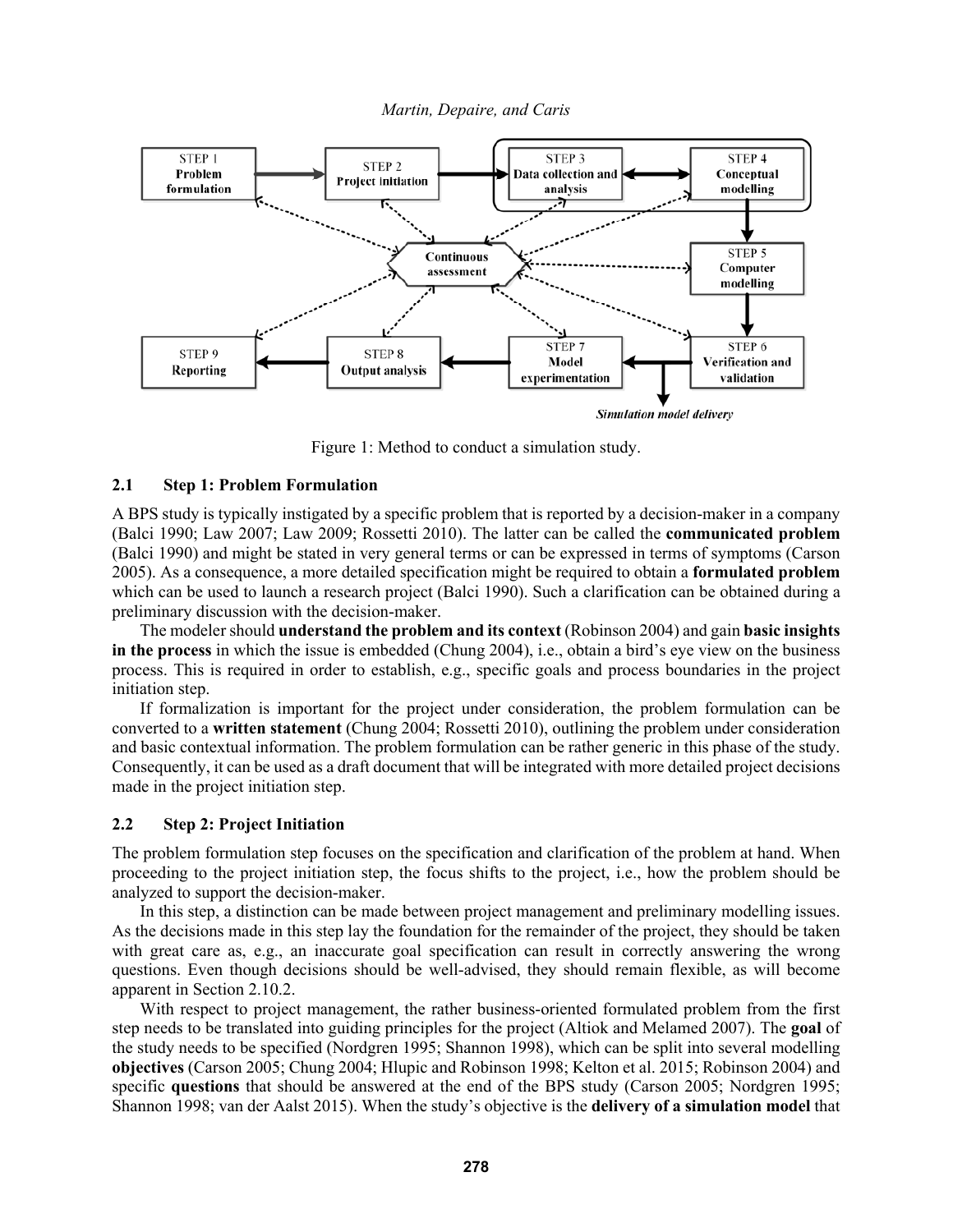



Figure 1: Method to conduct a simulation study.

### **2.1 Step 1: Problem Formulation**

A BPS study is typically instigated by a specific problem that is reported by a decision-maker in a company (Balci 1990; Law 2007; Law 2009; Rossetti 2010). The latter can be called the **communicated problem** (Balci 1990) and might be stated in very general terms or can be expressed in terms of symptoms (Carson 2005). As a consequence, a more detailed specification might be required to obtain a **formulated problem** which can be used to launch a research project (Balci 1990). Such a clarification can be obtained during a preliminary discussion with the decision-maker.

The modeler should **understand the problem and its context** (Robinson 2004) and gain **basic insights in the process** in which the issue is embedded (Chung 2004), i.e., obtain a bird's eye view on the business process. This is required in order to establish, e.g., specific goals and process boundaries in the project initiation step.

 If formalization is important for the project under consideration, the problem formulation can be converted to a **written statement** (Chung 2004; Rossetti 2010), outlining the problem under consideration and basic contextual information. The problem formulation can be rather generic in this phase of the study. Consequently, it can be used as a draft document that will be integrated with more detailed project decisions made in the project initiation step.

#### **2.2 Step 2: Project Initiation**

The problem formulation step focuses on the specification and clarification of the problem at hand. When proceeding to the project initiation step, the focus shifts to the project, i.e., how the problem should be analyzed to support the decision-maker.

 In this step, a distinction can be made between project management and preliminary modelling issues. As the decisions made in this step lay the foundation for the remainder of the project, they should be taken with great care as, e.g., an inaccurate goal specification can result in correctly answering the wrong questions. Even though decisions should be well-advised, they should remain flexible, as will become apparent in Section 2.10.2.

 With respect to project management, the rather business-oriented formulated problem from the first step needs to be translated into guiding principles for the project (Altiok and Melamed 2007). The **goal** of the study needs to be specified (Nordgren 1995; Shannon 1998), which can be split into several modelling **objectives** (Carson 2005; Chung 2004; Hlupic and Robinson 1998; Kelton et al. 2015; Robinson 2004) and specific **questions** that should be answered at the end of the BPS study (Carson 2005; Nordgren 1995; Shannon 1998; van der Aalst 2015). When the study's objective is the **delivery of a simulation model** that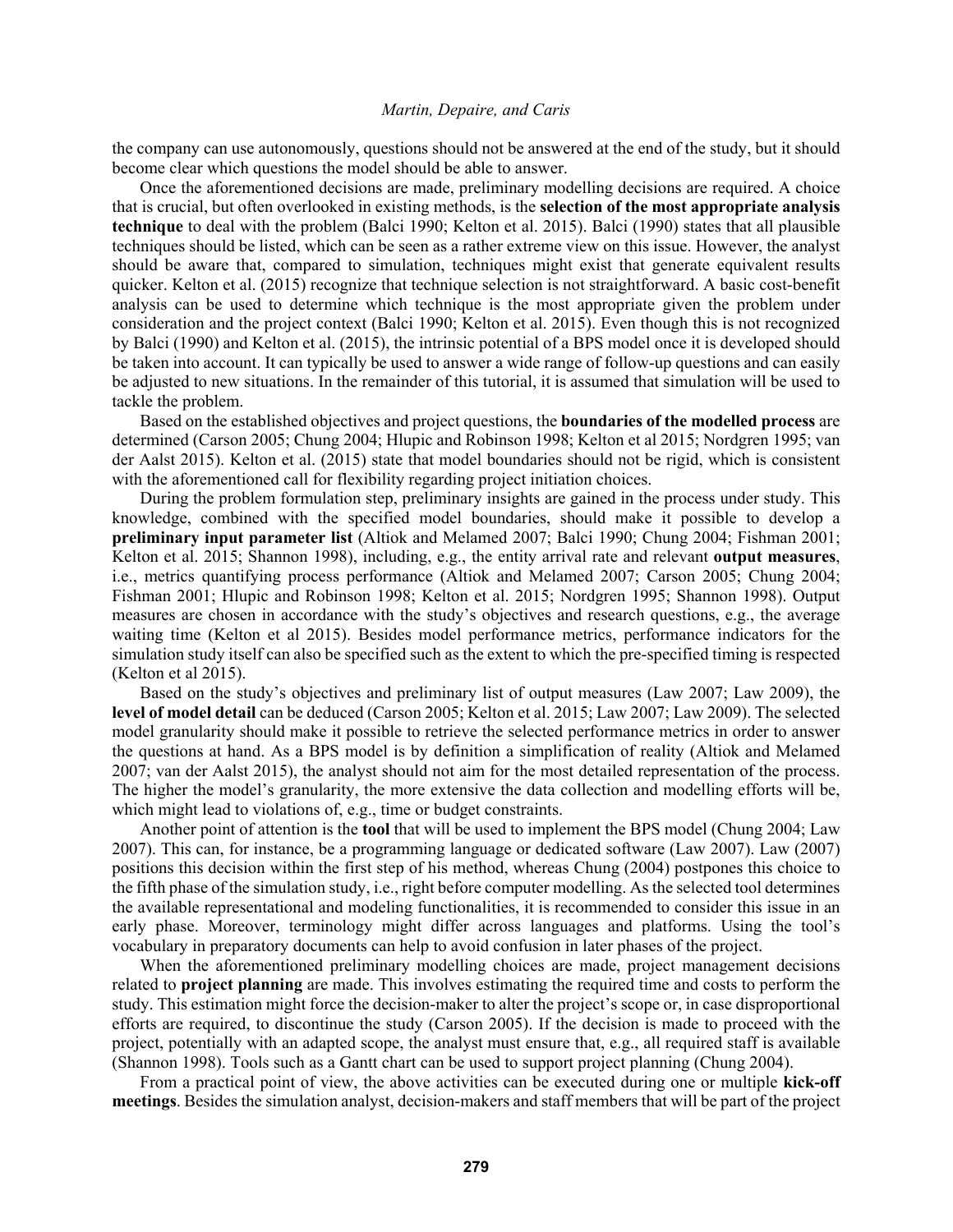the company can use autonomously, questions should not be answered at the end of the study, but it should become clear which questions the model should be able to answer.

 Once the aforementioned decisions are made, preliminary modelling decisions are required. A choice that is crucial, but often overlooked in existing methods, is the **selection of the most appropriate analysis technique** to deal with the problem (Balci 1990; Kelton et al. 2015). Balci (1990) states that all plausible techniques should be listed, which can be seen as a rather extreme view on this issue. However, the analyst should be aware that, compared to simulation, techniques might exist that generate equivalent results quicker. Kelton et al. (2015) recognize that technique selection is not straightforward. A basic cost-benefit analysis can be used to determine which technique is the most appropriate given the problem under consideration and the project context (Balci 1990; Kelton et al. 2015). Even though this is not recognized by Balci (1990) and Kelton et al. (2015), the intrinsic potential of a BPS model once it is developed should be taken into account. It can typically be used to answer a wide range of follow-up questions and can easily be adjusted to new situations. In the remainder of this tutorial, it is assumed that simulation will be used to tackle the problem.

 Based on the established objectives and project questions, the **boundaries of the modelled process** are determined (Carson 2005; Chung 2004; Hlupic and Robinson 1998; Kelton et al 2015; Nordgren 1995; van der Aalst 2015). Kelton et al. (2015) state that model boundaries should not be rigid, which is consistent with the aforementioned call for flexibility regarding project initiation choices.

 During the problem formulation step, preliminary insights are gained in the process under study. This knowledge, combined with the specified model boundaries, should make it possible to develop a **preliminary input parameter list** (Altiok and Melamed 2007; Balci 1990; Chung 2004; Fishman 2001; Kelton et al. 2015; Shannon 1998), including, e.g., the entity arrival rate and relevant **output measures**, i.e., metrics quantifying process performance (Altiok and Melamed 2007; Carson 2005; Chung 2004; Fishman 2001; Hlupic and Robinson 1998; Kelton et al. 2015; Nordgren 1995; Shannon 1998). Output measures are chosen in accordance with the study's objectives and research questions, e.g., the average waiting time (Kelton et al 2015). Besides model performance metrics, performance indicators for the simulation study itself can also be specified such as the extent to which the pre-specified timing is respected (Kelton et al 2015).

 Based on the study's objectives and preliminary list of output measures (Law 2007; Law 2009), the **level of model detail** can be deduced (Carson 2005; Kelton et al. 2015; Law 2007; Law 2009). The selected model granularity should make it possible to retrieve the selected performance metrics in order to answer the questions at hand. As a BPS model is by definition a simplification of reality (Altiok and Melamed 2007; van der Aalst 2015), the analyst should not aim for the most detailed representation of the process. The higher the model's granularity, the more extensive the data collection and modelling efforts will be, which might lead to violations of, e.g., time or budget constraints.

 Another point of attention is the **tool** that will be used to implement the BPS model (Chung 2004; Law 2007). This can, for instance, be a programming language or dedicated software (Law 2007). Law (2007) positions this decision within the first step of his method, whereas Chung (2004) postpones this choice to the fifth phase of the simulation study, i.e., right before computer modelling. As the selected tool determines the available representational and modeling functionalities, it is recommended to consider this issue in an early phase. Moreover, terminology might differ across languages and platforms. Using the tool's vocabulary in preparatory documents can help to avoid confusion in later phases of the project.

 When the aforementioned preliminary modelling choices are made, project management decisions related to **project planning** are made. This involves estimating the required time and costs to perform the study. This estimation might force the decision-maker to alter the project's scope or, in case disproportional efforts are required, to discontinue the study (Carson 2005). If the decision is made to proceed with the project, potentially with an adapted scope, the analyst must ensure that, e.g., all required staff is available (Shannon 1998). Tools such as a Gantt chart can be used to support project planning (Chung 2004).

 From a practical point of view, the above activities can be executed during one or multiple **kick-off meetings**. Besides the simulation analyst, decision-makers and staff members that will be part of the project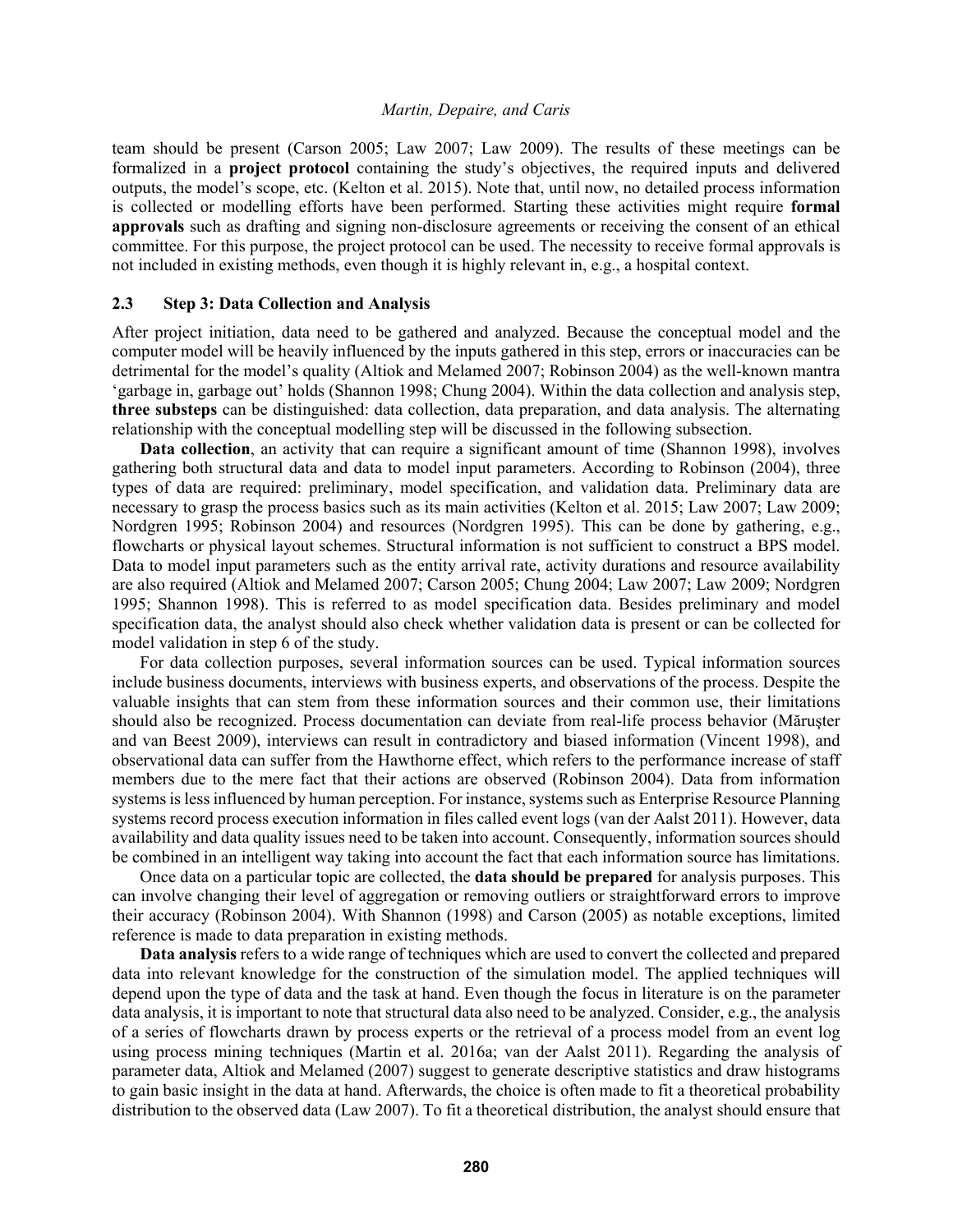team should be present (Carson 2005; Law 2007; Law 2009). The results of these meetings can be formalized in a **project protocol** containing the study's objectives, the required inputs and delivered outputs, the model's scope, etc. (Kelton et al. 2015). Note that, until now, no detailed process information is collected or modelling efforts have been performed. Starting these activities might require **formal approvals** such as drafting and signing non-disclosure agreements or receiving the consent of an ethical committee. For this purpose, the project protocol can be used. The necessity to receive formal approvals is not included in existing methods, even though it is highly relevant in, e.g., a hospital context.

#### **2.3 Step 3: Data Collection and Analysis**

After project initiation, data need to be gathered and analyzed. Because the conceptual model and the computer model will be heavily influenced by the inputs gathered in this step, errors or inaccuracies can be detrimental for the model's quality (Altiok and Melamed 2007; Robinson 2004) as the well-known mantra 'garbage in, garbage out' holds (Shannon 1998; Chung 2004). Within the data collection and analysis step, **three substeps** can be distinguished: data collection, data preparation, and data analysis. The alternating relationship with the conceptual modelling step will be discussed in the following subsection.

**Data collection**, an activity that can require a significant amount of time (Shannon 1998), involves gathering both structural data and data to model input parameters. According to Robinson (2004), three types of data are required: preliminary, model specification, and validation data. Preliminary data are necessary to grasp the process basics such as its main activities (Kelton et al. 2015; Law 2007; Law 2009; Nordgren 1995; Robinson 2004) and resources (Nordgren 1995). This can be done by gathering, e.g., flowcharts or physical layout schemes. Structural information is not sufficient to construct a BPS model. Data to model input parameters such as the entity arrival rate, activity durations and resource availability are also required (Altiok and Melamed 2007; Carson 2005; Chung 2004; Law 2007; Law 2009; Nordgren 1995; Shannon 1998). This is referred to as model specification data. Besides preliminary and model specification data, the analyst should also check whether validation data is present or can be collected for model validation in step 6 of the study.

For data collection purposes, several information sources can be used. Typical information sources include business documents, interviews with business experts, and observations of the process. Despite the valuable insights that can stem from these information sources and their common use, their limitations should also be recognized. Process documentation can deviate from real-life process behavior (Măruşter and van Beest 2009), interviews can result in contradictory and biased information (Vincent 1998), and observational data can suffer from the Hawthorne effect, which refers to the performance increase of staff members due to the mere fact that their actions are observed (Robinson 2004). Data from information systems is less influenced by human perception. For instance, systems such as Enterprise Resource Planning systems record process execution information in files called event logs (van der Aalst 2011). However, data availability and data quality issues need to be taken into account. Consequently, information sources should be combined in an intelligent way taking into account the fact that each information source has limitations.

 Once data on a particular topic are collected, the **data should be prepared** for analysis purposes. This can involve changing their level of aggregation or removing outliers or straightforward errors to improve their accuracy (Robinson 2004). With Shannon (1998) and Carson (2005) as notable exceptions, limited reference is made to data preparation in existing methods.

**Data analysis** refers to a wide range of techniques which are used to convert the collected and prepared data into relevant knowledge for the construction of the simulation model. The applied techniques will depend upon the type of data and the task at hand. Even though the focus in literature is on the parameter data analysis, it is important to note that structural data also need to be analyzed. Consider, e.g., the analysis of a series of flowcharts drawn by process experts or the retrieval of a process model from an event log using process mining techniques (Martin et al. 2016a; van der Aalst 2011). Regarding the analysis of parameter data, Altiok and Melamed (2007) suggest to generate descriptive statistics and draw histograms to gain basic insight in the data at hand. Afterwards, the choice is often made to fit a theoretical probability distribution to the observed data (Law 2007). To fit a theoretical distribution, the analyst should ensure that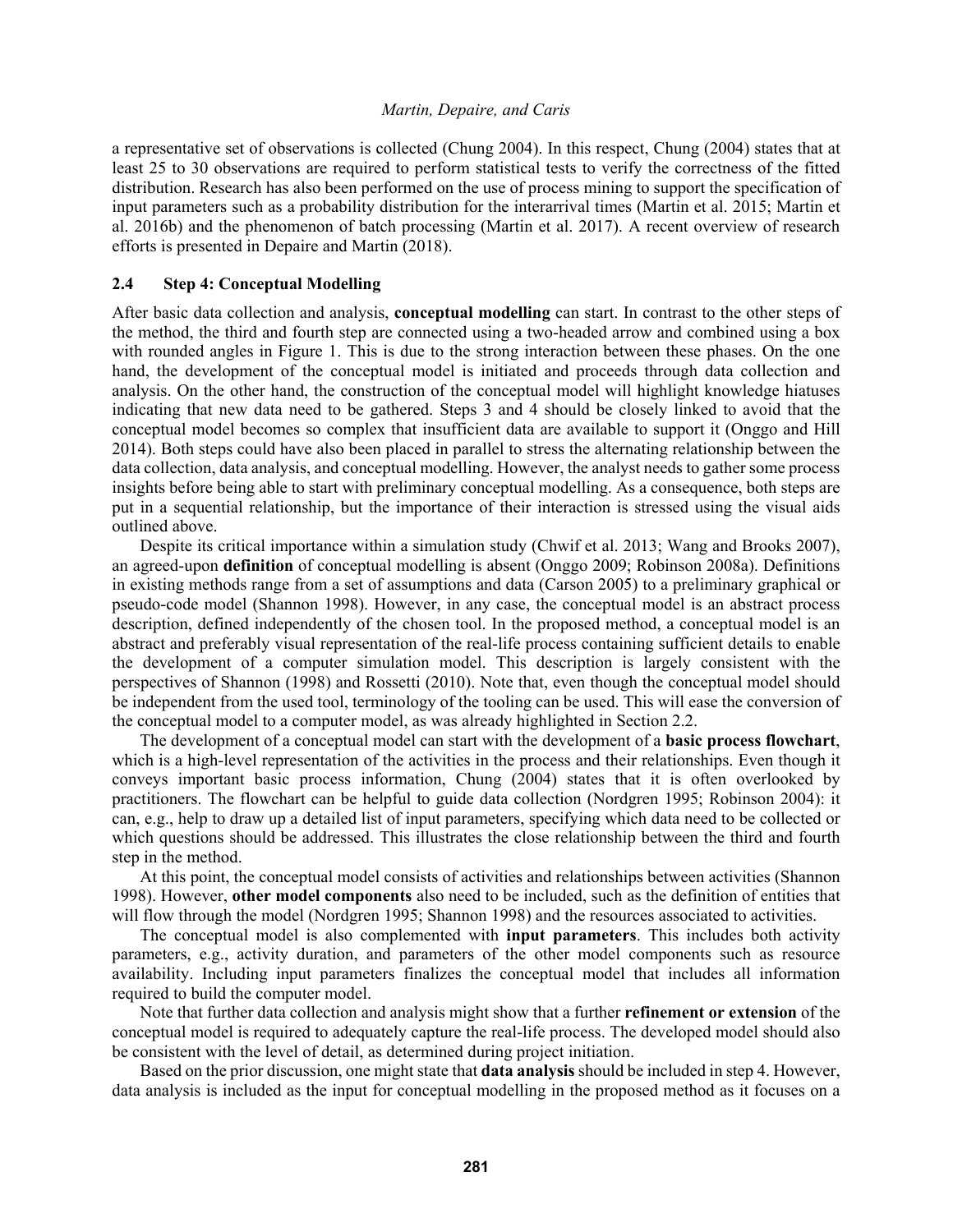a representative set of observations is collected (Chung 2004). In this respect, Chung (2004) states that at least 25 to 30 observations are required to perform statistical tests to verify the correctness of the fitted distribution. Research has also been performed on the use of process mining to support the specification of input parameters such as a probability distribution for the interarrival times (Martin et al. 2015; Martin et al. 2016b) and the phenomenon of batch processing (Martin et al. 2017). A recent overview of research efforts is presented in Depaire and Martin (2018).

#### **2.4 Step 4: Conceptual Modelling**

After basic data collection and analysis, **conceptual modelling** can start. In contrast to the other steps of the method, the third and fourth step are connected using a two-headed arrow and combined using a box with rounded angles in Figure 1. This is due to the strong interaction between these phases. On the one hand, the development of the conceptual model is initiated and proceeds through data collection and analysis. On the other hand, the construction of the conceptual model will highlight knowledge hiatuses indicating that new data need to be gathered. Steps 3 and 4 should be closely linked to avoid that the conceptual model becomes so complex that insufficient data are available to support it (Onggo and Hill 2014). Both steps could have also been placed in parallel to stress the alternating relationship between the data collection, data analysis, and conceptual modelling. However, the analyst needs to gather some process insights before being able to start with preliminary conceptual modelling. As a consequence, both steps are put in a sequential relationship, but the importance of their interaction is stressed using the visual aids outlined above.

 Despite its critical importance within a simulation study (Chwif et al. 2013; Wang and Brooks 2007), an agreed-upon **definition** of conceptual modelling is absent (Onggo 2009; Robinson 2008a). Definitions in existing methods range from a set of assumptions and data (Carson 2005) to a preliminary graphical or pseudo-code model (Shannon 1998). However, in any case, the conceptual model is an abstract process description, defined independently of the chosen tool. In the proposed method, a conceptual model is an abstract and preferably visual representation of the real-life process containing sufficient details to enable the development of a computer simulation model. This description is largely consistent with the perspectives of Shannon (1998) and Rossetti (2010). Note that, even though the conceptual model should be independent from the used tool, terminology of the tooling can be used. This will ease the conversion of the conceptual model to a computer model, as was already highlighted in Section 2.2.

 The development of a conceptual model can start with the development of a **basic process flowchart**, which is a high-level representation of the activities in the process and their relationships. Even though it conveys important basic process information, Chung (2004) states that it is often overlooked by practitioners. The flowchart can be helpful to guide data collection (Nordgren 1995; Robinson 2004): it can, e.g., help to draw up a detailed list of input parameters, specifying which data need to be collected or which questions should be addressed. This illustrates the close relationship between the third and fourth step in the method.

 At this point, the conceptual model consists of activities and relationships between activities (Shannon 1998). However, **other model components** also need to be included, such as the definition of entities that will flow through the model (Nordgren 1995; Shannon 1998) and the resources associated to activities.

 The conceptual model is also complemented with **input parameters**. This includes both activity parameters, e.g., activity duration, and parameters of the other model components such as resource availability. Including input parameters finalizes the conceptual model that includes all information required to build the computer model.

 Note that further data collection and analysis might show that a further **refinement or extension** of the conceptual model is required to adequately capture the real-life process. The developed model should also be consistent with the level of detail, as determined during project initiation.

 Based on the prior discussion, one might state that **data analysis** should be included in step 4. However, data analysis is included as the input for conceptual modelling in the proposed method as it focuses on a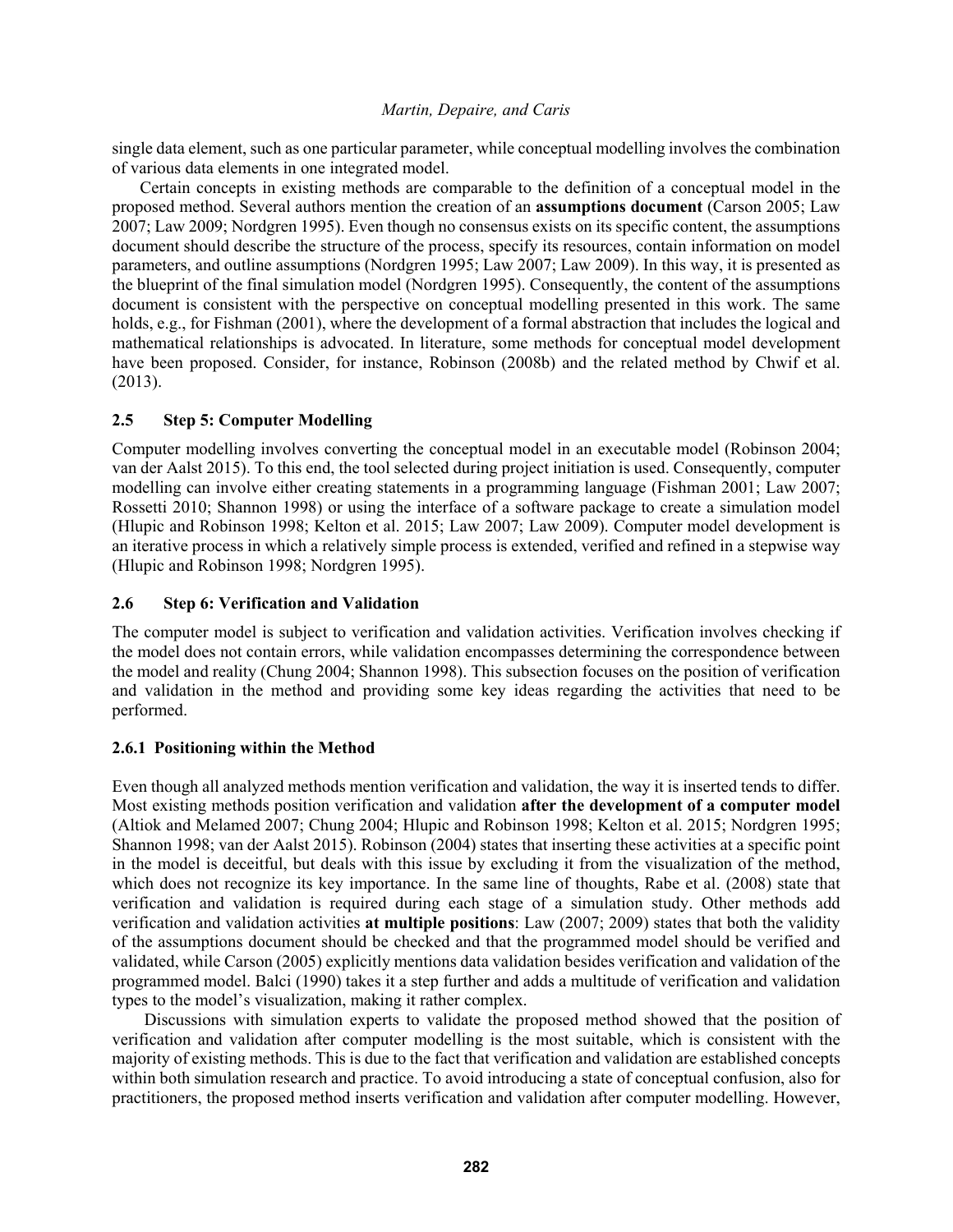single data element, such as one particular parameter, while conceptual modelling involves the combination of various data elements in one integrated model.

 Certain concepts in existing methods are comparable to the definition of a conceptual model in the proposed method. Several authors mention the creation of an **assumptions document** (Carson 2005; Law 2007; Law 2009; Nordgren 1995). Even though no consensus exists on its specific content, the assumptions document should describe the structure of the process, specify its resources, contain information on model parameters, and outline assumptions (Nordgren 1995; Law 2007; Law 2009). In this way, it is presented as the blueprint of the final simulation model (Nordgren 1995). Consequently, the content of the assumptions document is consistent with the perspective on conceptual modelling presented in this work. The same holds, e.g., for Fishman (2001), where the development of a formal abstraction that includes the logical and mathematical relationships is advocated. In literature, some methods for conceptual model development have been proposed. Consider, for instance, Robinson (2008b) and the related method by Chwif et al. (2013).

# **2.5 Step 5: Computer Modelling**

Computer modelling involves converting the conceptual model in an executable model (Robinson 2004; van der Aalst 2015). To this end, the tool selected during project initiation is used. Consequently, computer modelling can involve either creating statements in a programming language (Fishman 2001; Law 2007; Rossetti 2010; Shannon 1998) or using the interface of a software package to create a simulation model (Hlupic and Robinson 1998; Kelton et al. 2015; Law 2007; Law 2009). Computer model development is an iterative process in which a relatively simple process is extended, verified and refined in a stepwise way (Hlupic and Robinson 1998; Nordgren 1995).

# **2.6 Step 6: Verification and Validation**

The computer model is subject to verification and validation activities. Verification involves checking if the model does not contain errors, while validation encompasses determining the correspondence between the model and reality (Chung 2004; Shannon 1998). This subsection focuses on the position of verification and validation in the method and providing some key ideas regarding the activities that need to be performed.

# **2.6.1 Positioning within the Method**

Even though all analyzed methods mention verification and validation, the way it is inserted tends to differ. Most existing methods position verification and validation **after the development of a computer model** (Altiok and Melamed 2007; Chung 2004; Hlupic and Robinson 1998; Kelton et al. 2015; Nordgren 1995; Shannon 1998; van der Aalst 2015). Robinson (2004) states that inserting these activities at a specific point in the model is deceitful, but deals with this issue by excluding it from the visualization of the method, which does not recognize its key importance. In the same line of thoughts, Rabe et al. (2008) state that verification and validation is required during each stage of a simulation study. Other methods add verification and validation activities **at multiple positions**: Law (2007; 2009) states that both the validity of the assumptions document should be checked and that the programmed model should be verified and validated, while Carson (2005) explicitly mentions data validation besides verification and validation of the programmed model. Balci (1990) takes it a step further and adds a multitude of verification and validation types to the model's visualization, making it rather complex.

 Discussions with simulation experts to validate the proposed method showed that the position of verification and validation after computer modelling is the most suitable, which is consistent with the majority of existing methods. This is due to the fact that verification and validation are established concepts within both simulation research and practice. To avoid introducing a state of conceptual confusion, also for practitioners, the proposed method inserts verification and validation after computer modelling. However,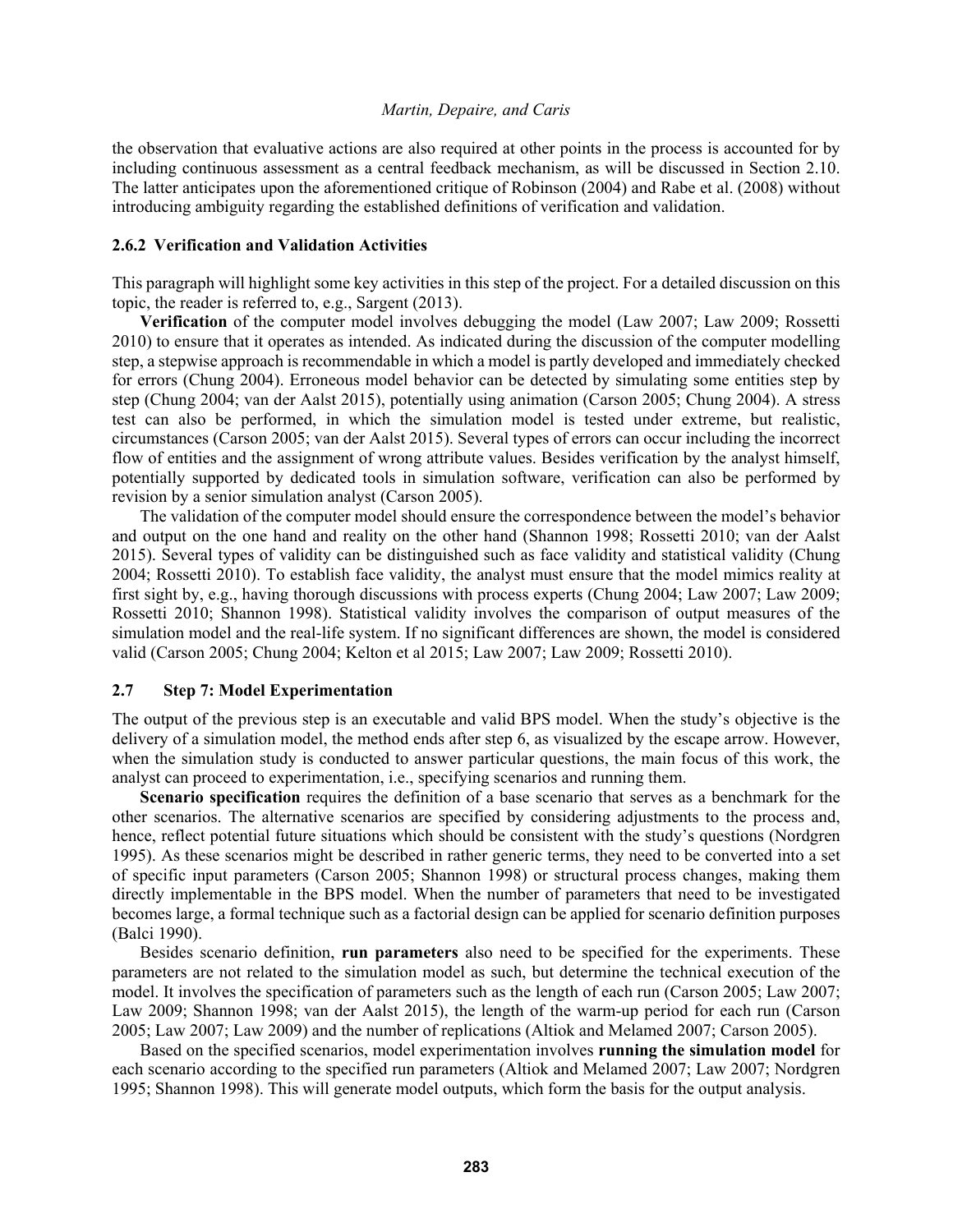the observation that evaluative actions are also required at other points in the process is accounted for by including continuous assessment as a central feedback mechanism, as will be discussed in Section 2.10. The latter anticipates upon the aforementioned critique of Robinson (2004) and Rabe et al. (2008) without introducing ambiguity regarding the established definitions of verification and validation.

#### **2.6.2 Verification and Validation Activities**

This paragraph will highlight some key activities in this step of the project. For a detailed discussion on this topic, the reader is referred to, e.g., Sargent (2013).

**Verification** of the computer model involves debugging the model (Law 2007; Law 2009; Rossetti 2010) to ensure that it operates as intended. As indicated during the discussion of the computer modelling step, a stepwise approach is recommendable in which a model is partly developed and immediately checked for errors (Chung 2004). Erroneous model behavior can be detected by simulating some entities step by step (Chung 2004; van der Aalst 2015), potentially using animation (Carson 2005; Chung 2004). A stress test can also be performed, in which the simulation model is tested under extreme, but realistic, circumstances (Carson 2005; van der Aalst 2015). Several types of errors can occur including the incorrect flow of entities and the assignment of wrong attribute values. Besides verification by the analyst himself, potentially supported by dedicated tools in simulation software, verification can also be performed by revision by a senior simulation analyst (Carson 2005).

 The validation of the computer model should ensure the correspondence between the model's behavior and output on the one hand and reality on the other hand (Shannon 1998; Rossetti 2010; van der Aalst 2015). Several types of validity can be distinguished such as face validity and statistical validity (Chung 2004; Rossetti 2010). To establish face validity, the analyst must ensure that the model mimics reality at first sight by, e.g., having thorough discussions with process experts (Chung 2004; Law 2007; Law 2009; Rossetti 2010; Shannon 1998). Statistical validity involves the comparison of output measures of the simulation model and the real-life system. If no significant differences are shown, the model is considered valid (Carson 2005; Chung 2004; Kelton et al 2015; Law 2007; Law 2009; Rossetti 2010).

#### **2.7 Step 7: Model Experimentation**

The output of the previous step is an executable and valid BPS model. When the study's objective is the delivery of a simulation model, the method ends after step 6, as visualized by the escape arrow. However, when the simulation study is conducted to answer particular questions, the main focus of this work, the analyst can proceed to experimentation, i.e., specifying scenarios and running them.

**Scenario specification** requires the definition of a base scenario that serves as a benchmark for the other scenarios. The alternative scenarios are specified by considering adjustments to the process and, hence, reflect potential future situations which should be consistent with the study's questions (Nordgren 1995). As these scenarios might be described in rather generic terms, they need to be converted into a set of specific input parameters (Carson 2005; Shannon 1998) or structural process changes, making them directly implementable in the BPS model. When the number of parameters that need to be investigated becomes large, a formal technique such as a factorial design can be applied for scenario definition purposes (Balci 1990).

 Besides scenario definition, **run parameters** also need to be specified for the experiments. These parameters are not related to the simulation model as such, but determine the technical execution of the model. It involves the specification of parameters such as the length of each run (Carson 2005; Law 2007; Law 2009; Shannon 1998; van der Aalst 2015), the length of the warm-up period for each run (Carson 2005; Law 2007; Law 2009) and the number of replications (Altiok and Melamed 2007; Carson 2005).

 Based on the specified scenarios, model experimentation involves **running the simulation model** for each scenario according to the specified run parameters (Altiok and Melamed 2007; Law 2007; Nordgren 1995; Shannon 1998). This will generate model outputs, which form the basis for the output analysis.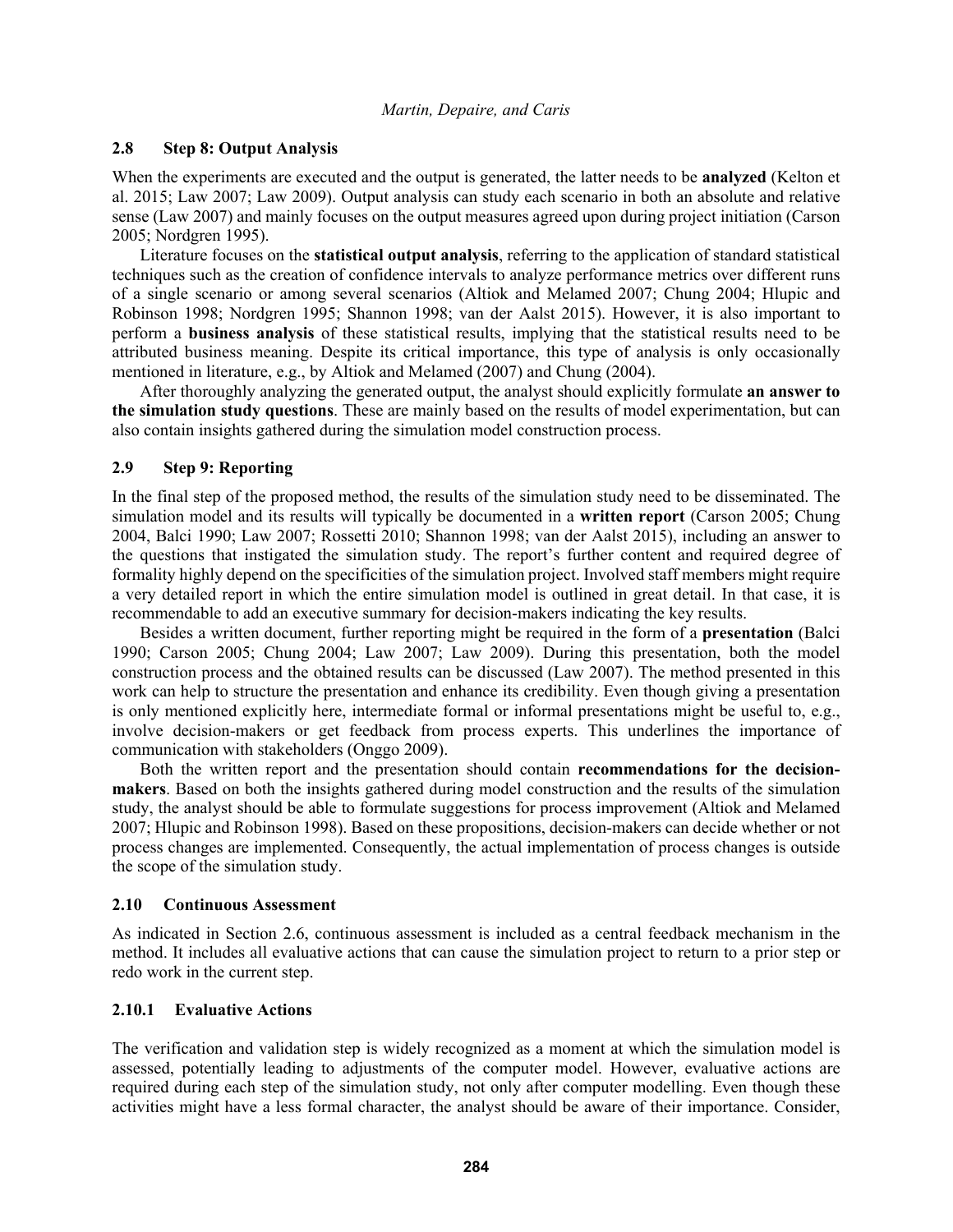## **2.8 Step 8: Output Analysis**

When the experiments are executed and the output is generated, the latter needs to be **analyzed** (Kelton et al. 2015; Law 2007; Law 2009). Output analysis can study each scenario in both an absolute and relative sense (Law 2007) and mainly focuses on the output measures agreed upon during project initiation (Carson 2005; Nordgren 1995).

 Literature focuses on the **statistical output analysis**, referring to the application of standard statistical techniques such as the creation of confidence intervals to analyze performance metrics over different runs of a single scenario or among several scenarios (Altiok and Melamed 2007; Chung 2004; Hlupic and Robinson 1998; Nordgren 1995; Shannon 1998; van der Aalst 2015). However, it is also important to perform a **business analysis** of these statistical results, implying that the statistical results need to be attributed business meaning. Despite its critical importance, this type of analysis is only occasionally mentioned in literature, e.g., by Altiok and Melamed (2007) and Chung (2004).

 After thoroughly analyzing the generated output, the analyst should explicitly formulate **an answer to the simulation study questions**. These are mainly based on the results of model experimentation, but can also contain insights gathered during the simulation model construction process.

## **2.9 Step 9: Reporting**

In the final step of the proposed method, the results of the simulation study need to be disseminated. The simulation model and its results will typically be documented in a **written report** (Carson 2005; Chung 2004, Balci 1990; Law 2007; Rossetti 2010; Shannon 1998; van der Aalst 2015), including an answer to the questions that instigated the simulation study. The report's further content and required degree of formality highly depend on the specificities of the simulation project. Involved staff members might require a very detailed report in which the entire simulation model is outlined in great detail. In that case, it is recommendable to add an executive summary for decision-makers indicating the key results.

 Besides a written document, further reporting might be required in the form of a **presentation** (Balci 1990; Carson 2005; Chung 2004; Law 2007; Law 2009). During this presentation, both the model construction process and the obtained results can be discussed (Law 2007). The method presented in this work can help to structure the presentation and enhance its credibility. Even though giving a presentation is only mentioned explicitly here, intermediate formal or informal presentations might be useful to, e.g., involve decision-makers or get feedback from process experts. This underlines the importance of communication with stakeholders (Onggo 2009).

 Both the written report and the presentation should contain **recommendations for the decisionmakers**. Based on both the insights gathered during model construction and the results of the simulation study, the analyst should be able to formulate suggestions for process improvement (Altiok and Melamed 2007; Hlupic and Robinson 1998). Based on these propositions, decision-makers can decide whether or not process changes are implemented. Consequently, the actual implementation of process changes is outside the scope of the simulation study.

#### **2.10 Continuous Assessment**

As indicated in Section 2.6, continuous assessment is included as a central feedback mechanism in the method. It includes all evaluative actions that can cause the simulation project to return to a prior step or redo work in the current step.

## **2.10.1 Evaluative Actions**

The verification and validation step is widely recognized as a moment at which the simulation model is assessed, potentially leading to adjustments of the computer model. However, evaluative actions are required during each step of the simulation study, not only after computer modelling. Even though these activities might have a less formal character, the analyst should be aware of their importance. Consider,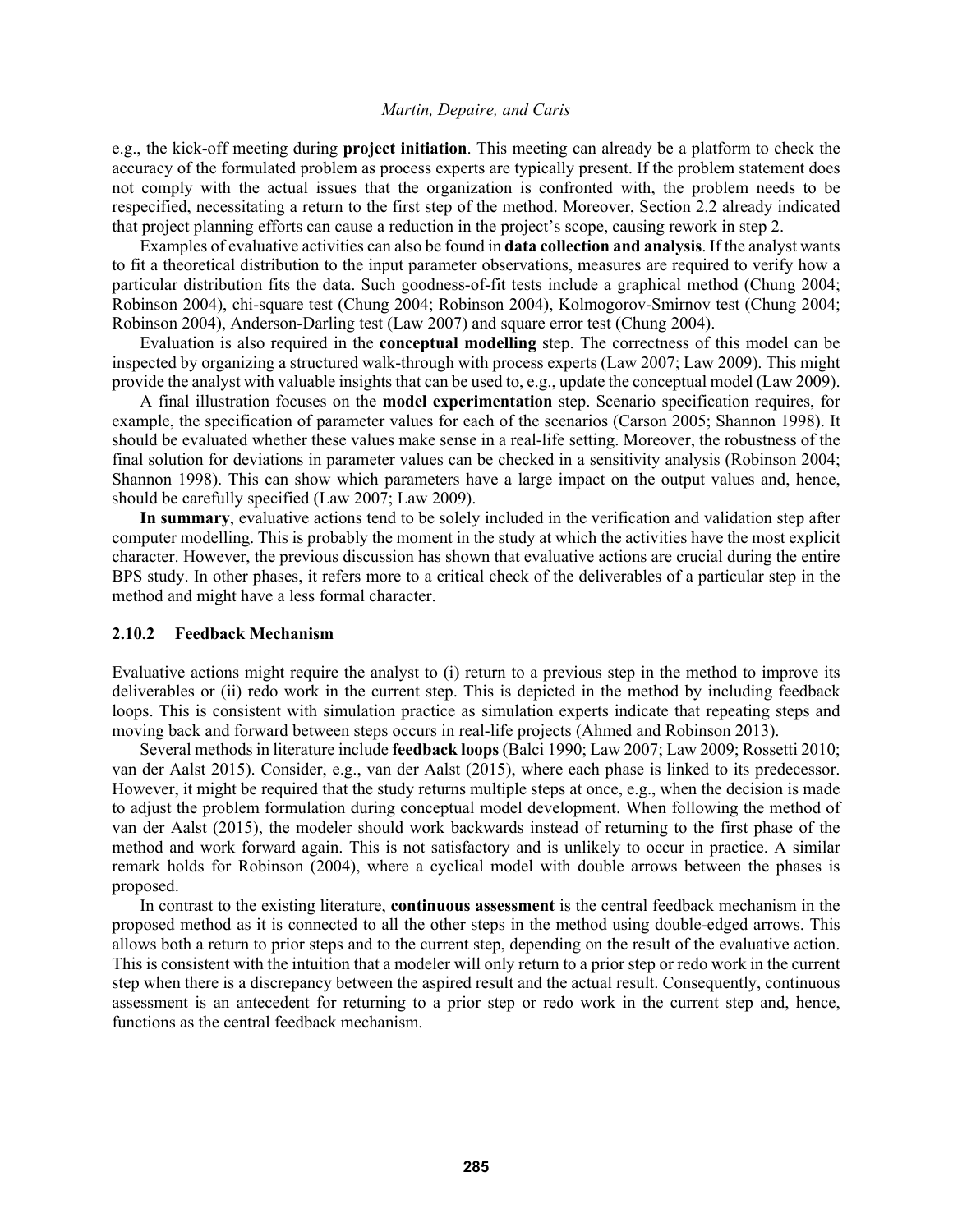e.g., the kick-off meeting during **project initiation**. This meeting can already be a platform to check the accuracy of the formulated problem as process experts are typically present. If the problem statement does not comply with the actual issues that the organization is confronted with, the problem needs to be respecified, necessitating a return to the first step of the method. Moreover, Section 2.2 already indicated that project planning efforts can cause a reduction in the project's scope, causing rework in step 2.

 Examples of evaluative activities can also be found in **data collection and analysis**. If the analyst wants to fit a theoretical distribution to the input parameter observations, measures are required to verify how a particular distribution fits the data. Such goodness-of-fit tests include a graphical method (Chung 2004; Robinson 2004), chi-square test (Chung 2004; Robinson 2004), Kolmogorov-Smirnov test (Chung 2004; Robinson 2004), Anderson-Darling test (Law 2007) and square error test (Chung 2004).

 Evaluation is also required in the **conceptual modelling** step. The correctness of this model can be inspected by organizing a structured walk-through with process experts (Law 2007; Law 2009). This might provide the analyst with valuable insights that can be used to, e.g., update the conceptual model (Law 2009).

 A final illustration focuses on the **model experimentation** step. Scenario specification requires, for example, the specification of parameter values for each of the scenarios (Carson 2005; Shannon 1998). It should be evaluated whether these values make sense in a real-life setting. Moreover, the robustness of the final solution for deviations in parameter values can be checked in a sensitivity analysis (Robinson 2004; Shannon 1998). This can show which parameters have a large impact on the output values and, hence, should be carefully specified (Law 2007; Law 2009).

**In summary**, evaluative actions tend to be solely included in the verification and validation step after computer modelling. This is probably the moment in the study at which the activities have the most explicit character. However, the previous discussion has shown that evaluative actions are crucial during the entire BPS study. In other phases, it refers more to a critical check of the deliverables of a particular step in the method and might have a less formal character.

### **2.10.2 Feedback Mechanism**

Evaluative actions might require the analyst to (i) return to a previous step in the method to improve its deliverables or (ii) redo work in the current step. This is depicted in the method by including feedback loops. This is consistent with simulation practice as simulation experts indicate that repeating steps and moving back and forward between steps occurs in real-life projects (Ahmed and Robinson 2013).

 Several methods in literature include **feedback loops** (Balci 1990; Law 2007; Law 2009; Rossetti 2010; van der Aalst 2015). Consider, e.g., van der Aalst (2015), where each phase is linked to its predecessor. However, it might be required that the study returns multiple steps at once, e.g., when the decision is made to adjust the problem formulation during conceptual model development. When following the method of van der Aalst (2015), the modeler should work backwards instead of returning to the first phase of the method and work forward again. This is not satisfactory and is unlikely to occur in practice. A similar remark holds for Robinson (2004), where a cyclical model with double arrows between the phases is proposed.

 In contrast to the existing literature, **continuous assessment** is the central feedback mechanism in the proposed method as it is connected to all the other steps in the method using double-edged arrows. This allows both a return to prior steps and to the current step, depending on the result of the evaluative action. This is consistent with the intuition that a modeler will only return to a prior step or redo work in the current step when there is a discrepancy between the aspired result and the actual result. Consequently, continuous assessment is an antecedent for returning to a prior step or redo work in the current step and, hence, functions as the central feedback mechanism.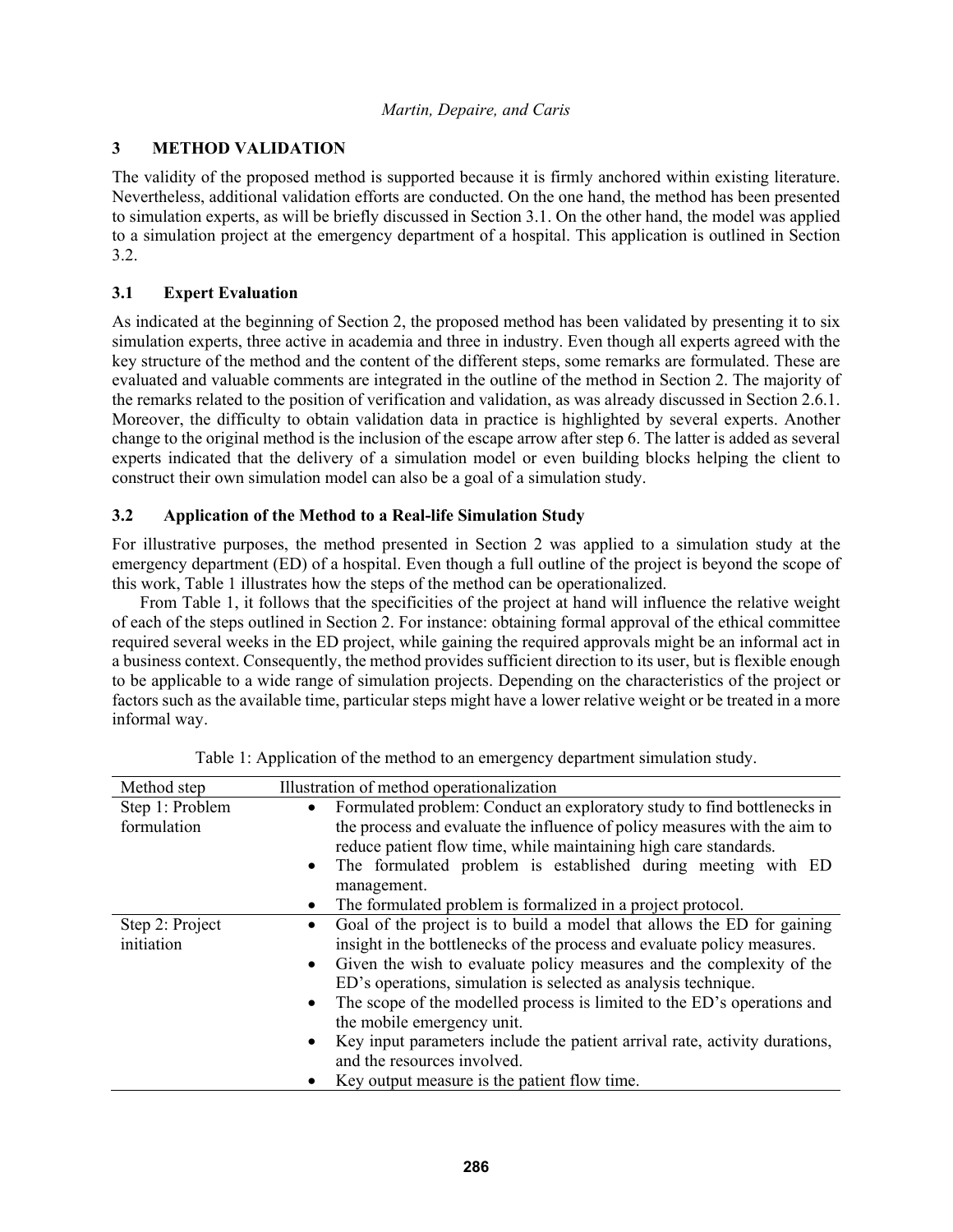# **3 METHOD VALIDATION**

The validity of the proposed method is supported because it is firmly anchored within existing literature. Nevertheless, additional validation efforts are conducted. On the one hand, the method has been presented to simulation experts, as will be briefly discussed in Section 3.1. On the other hand, the model was applied to a simulation project at the emergency department of a hospital. This application is outlined in Section 3.2.

# **3.1 Expert Evaluation**

As indicated at the beginning of Section 2, the proposed method has been validated by presenting it to six simulation experts, three active in academia and three in industry. Even though all experts agreed with the key structure of the method and the content of the different steps, some remarks are formulated. These are evaluated and valuable comments are integrated in the outline of the method in Section 2. The majority of the remarks related to the position of verification and validation, as was already discussed in Section 2.6.1. Moreover, the difficulty to obtain validation data in practice is highlighted by several experts. Another change to the original method is the inclusion of the escape arrow after step 6. The latter is added as several experts indicated that the delivery of a simulation model or even building blocks helping the client to construct their own simulation model can also be a goal of a simulation study.

# **3.2 Application of the Method to a Real-life Simulation Study**

For illustrative purposes, the method presented in Section 2 was applied to a simulation study at the emergency department (ED) of a hospital. Even though a full outline of the project is beyond the scope of this work, Table 1 illustrates how the steps of the method can be operationalized.

From Table 1, it follows that the specificities of the project at hand will influence the relative weight of each of the steps outlined in Section 2. For instance: obtaining formal approval of the ethical committee required several weeks in the ED project, while gaining the required approvals might be an informal act in a business context. Consequently, the method provides sufficient direction to its user, but is flexible enough to be applicable to a wide range of simulation projects. Depending on the characteristics of the project or factors such as the available time, particular steps might have a lower relative weight or be treated in a more informal way.

| Method step                    | Illustration of method operationalization                                                                                                                                                                                                                                                                                                                                                                                                                                                                                                                                                        |
|--------------------------------|--------------------------------------------------------------------------------------------------------------------------------------------------------------------------------------------------------------------------------------------------------------------------------------------------------------------------------------------------------------------------------------------------------------------------------------------------------------------------------------------------------------------------------------------------------------------------------------------------|
| Step 1: Problem<br>formulation | Formulated problem: Conduct an exploratory study to find bottlenecks in<br>$\bullet$<br>the process and evaluate the influence of policy measures with the aim to<br>reduce patient flow time, while maintaining high care standards.<br>The formulated problem is established during meeting with ED<br>$\bullet$<br>management.<br>The formulated problem is formalized in a project protocol.                                                                                                                                                                                                 |
| Step 2: Project<br>initiation  | Goal of the project is to build a model that allows the ED for gaining<br>٠<br>insight in the bottlenecks of the process and evaluate policy measures.<br>Given the wish to evaluate policy measures and the complexity of the<br>$\bullet$<br>ED's operations, simulation is selected as analysis technique.<br>The scope of the modelled process is limited to the ED's operations and<br>$\bullet$<br>the mobile emergency unit.<br>Key input parameters include the patient arrival rate, activity durations,<br>and the resources involved.<br>Key output measure is the patient flow time. |

|  | Table 1: Application of the method to an emergency department simulation study. |  |
|--|---------------------------------------------------------------------------------|--|
|  |                                                                                 |  |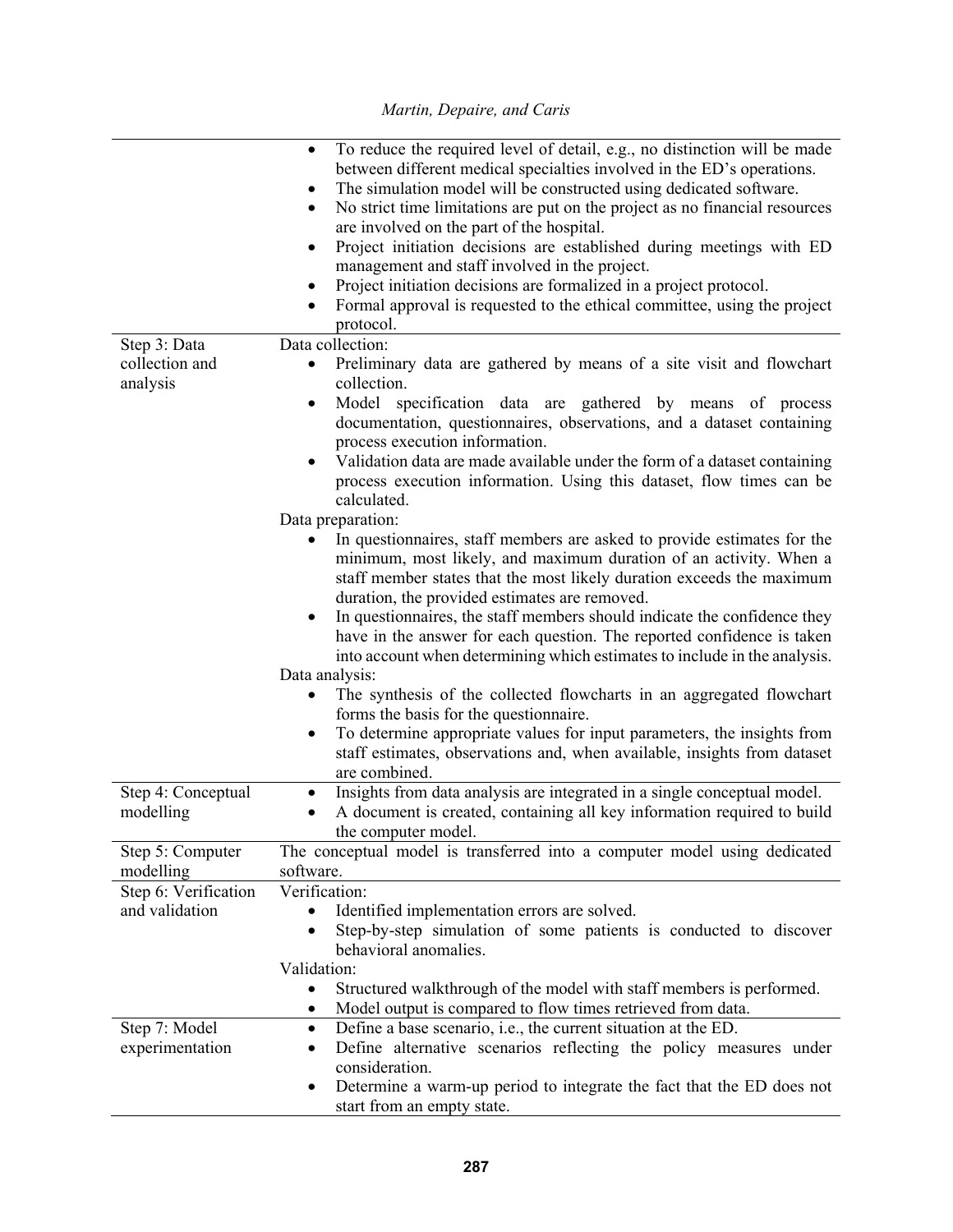|                                        | To reduce the required level of detail, e.g., no distinction will be made<br>٠<br>between different medical specialties involved in the ED's operations.<br>The simulation model will be constructed using dedicated software.<br>٠<br>No strict time limitations are put on the project as no financial resources<br>٠<br>are involved on the part of the hospital.<br>Project initiation decisions are established during meetings with ED<br>$\bullet$<br>management and staff involved in the project.<br>Project initiation decisions are formalized in a project protocol.<br>Formal approval is requested to the ethical committee, using the project<br>protocol. |
|----------------------------------------|---------------------------------------------------------------------------------------------------------------------------------------------------------------------------------------------------------------------------------------------------------------------------------------------------------------------------------------------------------------------------------------------------------------------------------------------------------------------------------------------------------------------------------------------------------------------------------------------------------------------------------------------------------------------------|
| Step 3: Data                           | Data collection:                                                                                                                                                                                                                                                                                                                                                                                                                                                                                                                                                                                                                                                          |
| collection and                         | Preliminary data are gathered by means of a site visit and flowchart<br>$\bullet$                                                                                                                                                                                                                                                                                                                                                                                                                                                                                                                                                                                         |
| analysis                               | collection.<br>Model specification data are gathered by means of process<br>٠<br>documentation, questionnaires, observations, and a dataset containing<br>process execution information.<br>Validation data are made available under the form of a dataset containing<br>process execution information. Using this dataset, flow times can be<br>calculated.                                                                                                                                                                                                                                                                                                              |
|                                        | Data preparation:                                                                                                                                                                                                                                                                                                                                                                                                                                                                                                                                                                                                                                                         |
|                                        | In questionnaires, staff members are asked to provide estimates for the<br>minimum, most likely, and maximum duration of an activity. When a<br>staff member states that the most likely duration exceeds the maximum<br>duration, the provided estimates are removed.<br>In questionnaires, the staff members should indicate the confidence they<br>٠<br>have in the answer for each question. The reported confidence is taken<br>into account when determining which estimates to include in the analysis.                                                                                                                                                            |
|                                        | Data analysis:<br>The synthesis of the collected flowcharts in an aggregated flowchart                                                                                                                                                                                                                                                                                                                                                                                                                                                                                                                                                                                    |
|                                        | ٠                                                                                                                                                                                                                                                                                                                                                                                                                                                                                                                                                                                                                                                                         |
|                                        | forms the basis for the questionnaire.<br>To determine appropriate values for input parameters, the insights from<br>٠<br>staff estimates, observations and, when available, insights from dataset<br>are combined.                                                                                                                                                                                                                                                                                                                                                                                                                                                       |
| Step 4: Conceptual<br>modelling        | Insights from data analysis are integrated in a single conceptual model.<br>٠<br>A document is created, containing all key information required to build<br>٠<br>the computer model.                                                                                                                                                                                                                                                                                                                                                                                                                                                                                      |
| Step 5: Computer<br>modelling          | The conceptual model is transferred into a computer model using dedicated<br>software.                                                                                                                                                                                                                                                                                                                                                                                                                                                                                                                                                                                    |
| Step 6: Verification<br>and validation | Verification:<br>Identified implementation errors are solved.<br>$\bullet$<br>Step-by-step simulation of some patients is conducted to discover<br>٠<br>behavioral anomalies.                                                                                                                                                                                                                                                                                                                                                                                                                                                                                             |
|                                        | Validation:                                                                                                                                                                                                                                                                                                                                                                                                                                                                                                                                                                                                                                                               |
|                                        | Structured walkthrough of the model with staff members is performed.<br>Model output is compared to flow times retrieved from data.                                                                                                                                                                                                                                                                                                                                                                                                                                                                                                                                       |
| Step 7: Model                          | Define a base scenario, i.e., the current situation at the ED.<br>٠                                                                                                                                                                                                                                                                                                                                                                                                                                                                                                                                                                                                       |
| experimentation                        | Define alternative scenarios reflecting the policy measures under<br>٠<br>consideration.                                                                                                                                                                                                                                                                                                                                                                                                                                                                                                                                                                                  |
|                                        | Determine a warm-up period to integrate the fact that the ED does not<br>٠<br>start from an empty state.                                                                                                                                                                                                                                                                                                                                                                                                                                                                                                                                                                  |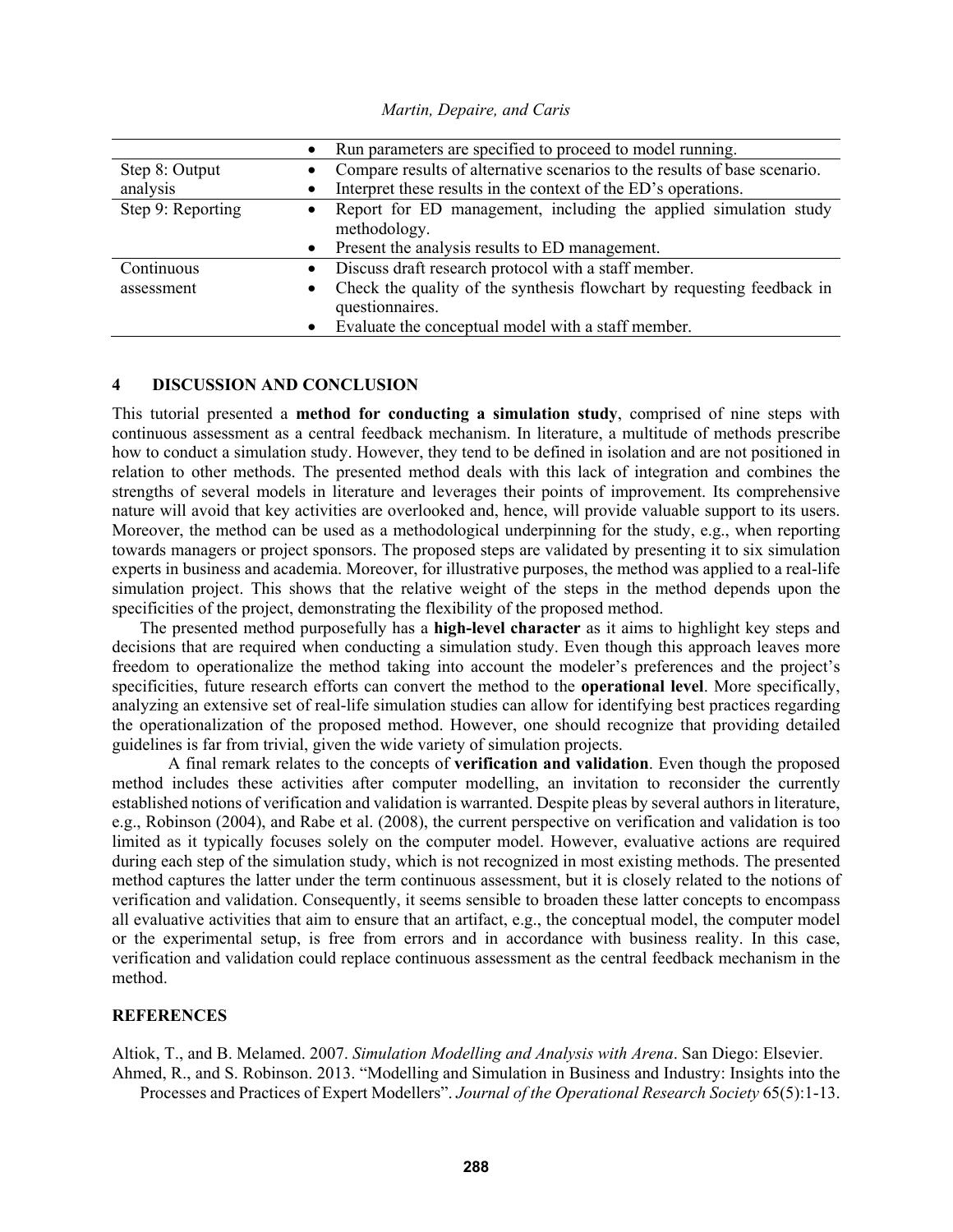|                   | Run parameters are specified to proceed to model running.<br>$\bullet$                        |
|-------------------|-----------------------------------------------------------------------------------------------|
| Step 8: Output    | Compare results of alternative scenarios to the results of base scenario.                     |
| analysis          | Interpret these results in the context of the ED's operations.                                |
| Step 9: Reporting | Report for ED management, including the applied simulation study<br>$\bullet$<br>methodology. |
|                   | Present the analysis results to ED management.<br>$\bullet$                                   |
| Continuous        | Discuss draft research protocol with a staff member.                                          |
| assessment        | Check the quality of the synthesis flowchart by requesting feedback in                        |
|                   | questionnaires.                                                                               |
|                   | Evaluate the conceptual model with a staff member.<br>$\bullet$                               |

## **4 DISCUSSION AND CONCLUSION**

This tutorial presented a **method for conducting a simulation study**, comprised of nine steps with continuous assessment as a central feedback mechanism. In literature, a multitude of methods prescribe how to conduct a simulation study. However, they tend to be defined in isolation and are not positioned in relation to other methods. The presented method deals with this lack of integration and combines the strengths of several models in literature and leverages their points of improvement. Its comprehensive nature will avoid that key activities are overlooked and, hence, will provide valuable support to its users. Moreover, the method can be used as a methodological underpinning for the study, e.g., when reporting towards managers or project sponsors. The proposed steps are validated by presenting it to six simulation experts in business and academia. Moreover, for illustrative purposes, the method was applied to a real-life simulation project. This shows that the relative weight of the steps in the method depends upon the specificities of the project, demonstrating the flexibility of the proposed method.

 The presented method purposefully has a **high-level character** as it aims to highlight key steps and decisions that are required when conducting a simulation study. Even though this approach leaves more freedom to operationalize the method taking into account the modeler's preferences and the project's specificities, future research efforts can convert the method to the **operational level**. More specifically, analyzing an extensive set of real-life simulation studies can allow for identifying best practices regarding the operationalization of the proposed method. However, one should recognize that providing detailed guidelines is far from trivial, given the wide variety of simulation projects.

 A final remark relates to the concepts of **verification and validation**. Even though the proposed method includes these activities after computer modelling, an invitation to reconsider the currently established notions of verification and validation is warranted. Despite pleas by several authors in literature, e.g., Robinson (2004), and Rabe et al. (2008), the current perspective on verification and validation is too limited as it typically focuses solely on the computer model. However, evaluative actions are required during each step of the simulation study, which is not recognized in most existing methods. The presented method captures the latter under the term continuous assessment, but it is closely related to the notions of verification and validation. Consequently, it seems sensible to broaden these latter concepts to encompass all evaluative activities that aim to ensure that an artifact, e.g., the conceptual model, the computer model or the experimental setup, is free from errors and in accordance with business reality. In this case, verification and validation could replace continuous assessment as the central feedback mechanism in the method.

### **REFERENCES**

Altiok, T., and B. Melamed. 2007. *Simulation Modelling and Analysis with Arena*. San Diego: Elsevier. Ahmed, R., and S. Robinson. 2013. "Modelling and Simulation in Business and Industry: Insights into the

Processes and Practices of Expert Modellers". *Journal of the Operational Research Society* 65(5):1-13.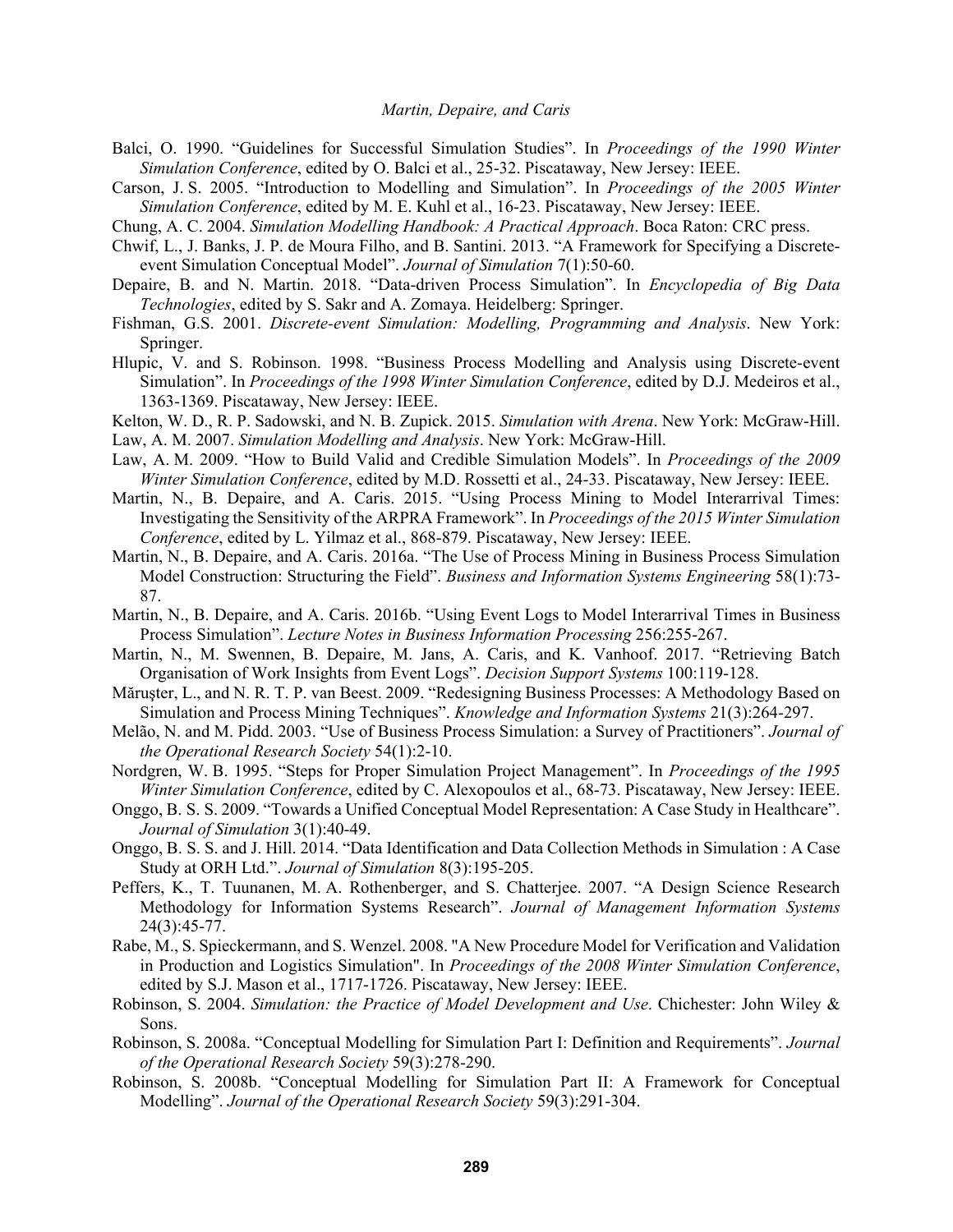- Balci, O. 1990. "Guidelines for Successful Simulation Studies". In *Proceedings of the 1990 Winter Simulation Conference*, edited by O. Balci et al., 25-32. Piscataway, New Jersey: IEEE.
- Carson, J. S. 2005. "Introduction to Modelling and Simulation". In *Proceedings of the 2005 Winter Simulation Conference*, edited by M. E. Kuhl et al., 16-23. Piscataway, New Jersey: IEEE.
- Chung, A. C. 2004. *Simulation Modelling Handbook: A Practical Approach*. Boca Raton: CRC press.
- Chwif, L., J. Banks, J. P. de Moura Filho, and B. Santini. 2013. "A Framework for Specifying a Discreteevent Simulation Conceptual Model". *Journal of Simulation* 7(1):50-60.
- Depaire, B. and N. Martin. 2018. "Data-driven Process Simulation". In *Encyclopedia of Big Data Technologies*, edited by S. Sakr and A. Zomaya. Heidelberg: Springer.
- Fishman, G.S. 2001. *Discrete-event Simulation: Modelling, Programming and Analysis*. New York: Springer.
- Hlupic, V. and S. Robinson. 1998. "Business Process Modelling and Analysis using Discrete-event Simulation". In *Proceedings of the 1998 Winter Simulation Conference*, edited by D.J. Medeiros et al., 1363-1369. Piscataway, New Jersey: IEEE.
- Kelton, W. D., R. P. Sadowski, and N. B. Zupick. 2015. *Simulation with Arena*. New York: McGraw-Hill.

Law, A. M. 2007. *Simulation Modelling and Analysis*. New York: McGraw-Hill.

- Law, A. M. 2009. "How to Build Valid and Credible Simulation Models". In *Proceedings of the 2009 Winter Simulation Conference*, edited by M.D. Rossetti et al., 24-33. Piscataway, New Jersey: IEEE.
- Martin, N., B. Depaire, and A. Caris. 2015. "Using Process Mining to Model Interarrival Times: Investigating the Sensitivity of the ARPRA Framework". In *Proceedings of the 2015 Winter Simulation Conference*, edited by L. Yilmaz et al., 868-879. Piscataway, New Jersey: IEEE.
- Martin, N., B. Depaire, and A. Caris. 2016a. "The Use of Process Mining in Business Process Simulation Model Construction: Structuring the Field". *Business and Information Systems Engineering* 58(1):73- 87.
- Martin, N., B. Depaire, and A. Caris. 2016b. "Using Event Logs to Model Interarrival Times in Business Process Simulation". *Lecture Notes in Business Information Processing* 256:255-267.
- Martin, N., M. Swennen, B. Depaire, M. Jans, A. Caris, and K. Vanhoof. 2017. "Retrieving Batch Organisation of Work Insights from Event Logs". *Decision Support Systems* 100:119-128.
- Măruşter, L., and N. R. T. P. van Beest. 2009. "Redesigning Business Processes: A Methodology Based on Simulation and Process Mining Techniques". *Knowledge and Information Systems* 21(3):264-297.
- Melão, N. and M. Pidd. 2003. "Use of Business Process Simulation: a Survey of Practitioners". *Journal of the Operational Research Society* 54(1):2-10.
- Nordgren, W. B. 1995. "Steps for Proper Simulation Project Management". In *Proceedings of the 1995 Winter Simulation Conference*, edited by C. Alexopoulos et al., 68-73. Piscataway, New Jersey: IEEE.
- Onggo, B. S. S. 2009. "Towards a Unified Conceptual Model Representation: A Case Study in Healthcare". *Journal of Simulation* 3(1):40-49.
- Onggo, B. S. S. and J. Hill. 2014. "Data Identification and Data Collection Methods in Simulation : A Case Study at ORH Ltd.". *Journal of Simulation* 8(3):195-205.
- Peffers, K., T. Tuunanen, M. A. Rothenberger, and S. Chatterjee. 2007. "A Design Science Research Methodology for Information Systems Research". *Journal of Management Information Systems* 24(3):45-77.
- Rabe, M., S. Spieckermann, and S. Wenzel. 2008. "A New Procedure Model for Verification and Validation in Production and Logistics Simulation". In *Proceedings of the 2008 Winter Simulation Conference*, edited by S.J. Mason et al., 1717-1726. Piscataway, New Jersey: IEEE.
- Robinson, S. 2004. *Simulation: the Practice of Model Development and Use*. Chichester: John Wiley & Sons.
- Robinson, S. 2008a. "Conceptual Modelling for Simulation Part I: Definition and Requirements". *Journal of the Operational Research Society* 59(3):278-290.
- Robinson, S. 2008b. "Conceptual Modelling for Simulation Part II: A Framework for Conceptual Modelling". *Journal of the Operational Research Society* 59(3):291-304.